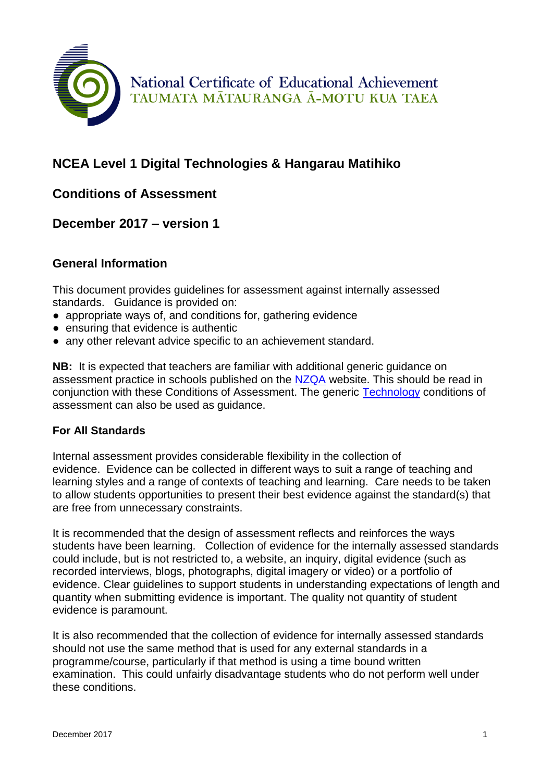

National Certificate of Educational Achievement TAUMATA MĀTAURANGA Ā-MOTU KUA TAEA

# **NCEA Level 1 Digital Technologies & Hangarau Matihiko**

## **Conditions of Assessment**

### **December 2017 – version 1**

#### **General Information**

This document provides guidelines for assessment against internally assessed standards. Guidance is provided on:

- appropriate ways of, and conditions for, gathering evidence
- ensuring that evidence is authentic
- any other relevant advice specific to an achievement standard.

**NB:** It is expected that teachers are familiar with additional generic guidance on assessment practice in schools published on the [NZQA](http://www.nzqa.govt.nz/providers-partners/assessment-and-moderation/assessment-of-standards/generic-resources/gathering-evidence-of-achievement/assessment-opportunities-in-schools/) website. This should be read in conjunction with these Conditions of Assessment. The generic [Technology](https://ncea.tki.org.nz/Resources-for-Internally-Assessed-Achievement-Standards/Technology/Level-1-Technology) conditions of assessment can also be used as guidance.

#### **For All Standards**

Internal assessment provides considerable flexibility in the collection of evidence. Evidence can be collected in different ways to suit a range of teaching and learning styles and a range of contexts of teaching and learning. Care needs to be taken to allow students opportunities to present their best evidence against the standard(s) that are free from unnecessary constraints.

It is recommended that the design of assessment reflects and reinforces the ways students have been learning. Collection of evidence for the internally assessed standards could include, but is not restricted to, a website, an inquiry, digital evidence (such as recorded interviews, blogs, photographs, digital imagery or video) or a portfolio of evidence. Clear guidelines to support students in understanding expectations of length and quantity when submitting evidence is important. The quality not quantity of student evidence is paramount.

It is also recommended that the collection of evidence for internally assessed standards should not use the same method that is used for any external standards in a programme/course, particularly if that method is using a time bound written examination. This could unfairly disadvantage students who do not perform well under these conditions.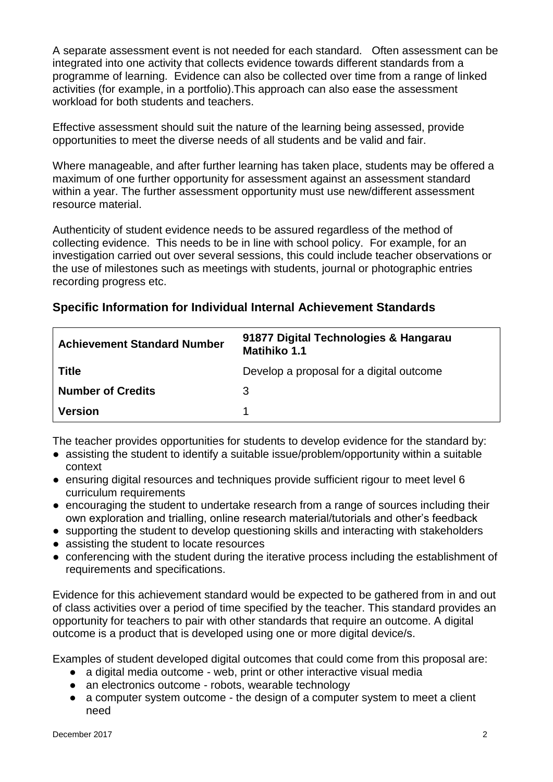A separate assessment event is not needed for each standard. Often assessment can be integrated into one activity that collects evidence towards different standards from a programme of learning. Evidence can also be collected over time from a range of linked activities (for example, in a portfolio).This approach can also ease the assessment workload for both students and teachers.

Effective assessment should suit the nature of the learning being assessed, provide opportunities to meet the diverse needs of all students and be valid and fair.

Where manageable, and after further learning has taken place, students may be offered a maximum of one further opportunity for assessment against an assessment standard within a year. The further assessment opportunity must use new/different assessment resource material.

Authenticity of student evidence needs to be assured regardless of the method of collecting evidence. This needs to be in line with school policy. For example, for an investigation carried out over several sessions, this could include teacher observations or the use of milestones such as meetings with students, journal or photographic entries recording progress etc.

|  |  | Specific Information for Individual Internal Achievement Standards |  |
|--|--|--------------------------------------------------------------------|--|
|--|--|--------------------------------------------------------------------|--|

| <b>Achievement Standard Number</b> | 91877 Digital Technologies & Hangarau<br><b>Matihiko 1.1</b> |
|------------------------------------|--------------------------------------------------------------|
| <b>Title</b>                       | Develop a proposal for a digital outcome                     |
| <b>Number of Credits</b>           | 3                                                            |
| <b>Version</b>                     |                                                              |

The teacher provides opportunities for students to develop evidence for the standard by:

- assisting the student to identify a suitable issue/problem/opportunity within a suitable context
- ensuring digital resources and techniques provide sufficient rigour to meet level 6 curriculum requirements
- encouraging the student to undertake research from a range of sources including their own exploration and trialling, online research material/tutorials and other's feedback
- supporting the student to develop questioning skills and interacting with stakeholders
- assisting the student to locate resources
- conferencing with the student during the iterative process including the establishment of requirements and specifications.

Evidence for this achievement standard would be expected to be gathered from in and out of class activities over a period of time specified by the teacher. This standard provides an opportunity for teachers to pair with other standards that require an outcome. A digital outcome is a product that is developed using one or more digital device/s.

Examples of student developed digital outcomes that could come from this proposal are:

- a digital media outcome web, print or other interactive visual media
- an electronics outcome robots, wearable technology
- a computer system outcome the design of a computer system to meet a client need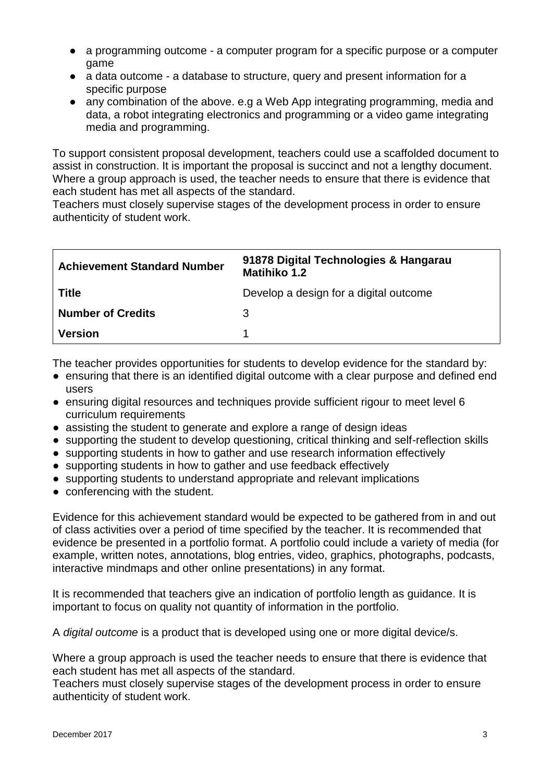- a programming outcome a computer program for a specific purpose or a computer game
- a data outcome a database to structure, query and present information for a specific purpose
- any combination of the above. e.g a Web App integrating programming, media and data, a robot integrating electronics and programming or a video game integrating media and programming.

To support consistent proposal development, teachers could use a scaffolded document to assist in construction. It is important the proposal is succinct and not a lengthy document. Where a group approach is used, the teacher needs to ensure that there is evidence that each student has met all aspects of the standard.

Teachers must closely supervise stages of the development process in order to ensure authenticity of student work.

| <b>Achievement Standard Number</b> | 91878 Digital Technologies & Hangarau<br><b>Matihiko 1.2</b> |
|------------------------------------|--------------------------------------------------------------|
| <b>Title</b>                       | Develop a design for a digital outcome                       |
| <b>Number of Credits</b>           | 3                                                            |
| <b>Version</b>                     |                                                              |

The teacher provides opportunities for students to develop evidence for the standard by:

- ensuring that there is an identified digital outcome with a clear purpose and defined end users
- ensuring digital resources and techniques provide sufficient rigour to meet level 6 curriculum requirements
- assisting the student to generate and explore a range of design ideas
- supporting the student to develop questioning, critical thinking and self-reflection skills
- supporting students in how to gather and use research information effectively
- supporting students in how to gather and use feedback effectively
- supporting students to understand appropriate and relevant implications
- conferencing with the student.

Evidence for this achievement standard would be expected to be gathered from in and out of class activities over a period of time specified by the teacher. It is recommended that evidence be presented in a portfolio format. A portfolio could include a variety of media (for example, written notes, annotations, blog entries, video, graphics, photographs, podcasts, interactive mindmaps and other online presentations) in any format.

It is recommended that teachers give an indication of portfolio length as guidance. It is important to focus on quality not quantity of information in the portfolio.

A *digital outcome* is a product that is developed using one or more digital device/s.

Where a group approach is used the teacher needs to ensure that there is evidence that each student has met all aspects of the standard.

Teachers must closely supervise stages of the development process in order to ensure authenticity of student work.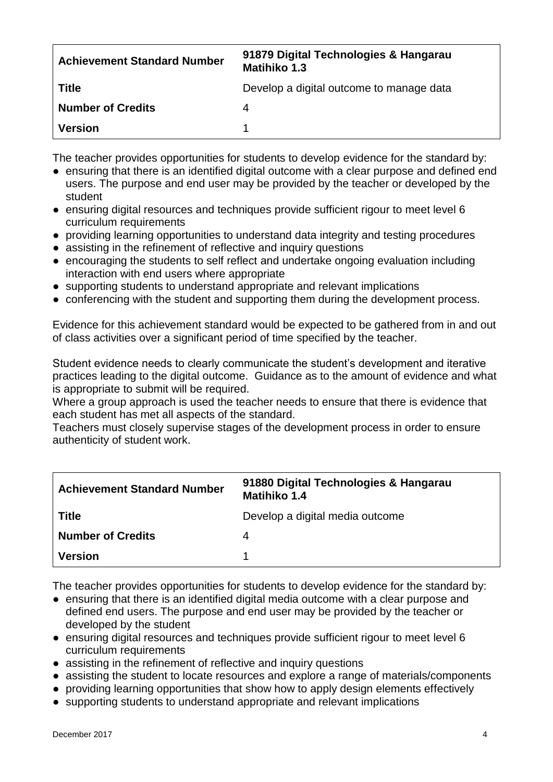| <b>Achievement Standard Number</b> | 91879 Digital Technologies & Hangarau<br>Matihiko 1.3 |
|------------------------------------|-------------------------------------------------------|
| <b>Title</b>                       | Develop a digital outcome to manage data              |
| <b>Number of Credits</b>           | 4                                                     |
| <b>Version</b>                     |                                                       |

The teacher provides opportunities for students to develop evidence for the standard by:

- ensuring that there is an identified digital outcome with a clear purpose and defined end users. The purpose and end user may be provided by the teacher or developed by the student
- ensuring digital resources and techniques provide sufficient rigour to meet level 6 curriculum requirements
- providing learning opportunities to understand data integrity and testing procedures
- assisting in the refinement of reflective and inquiry questions
- encouraging the students to self reflect and undertake ongoing evaluation including interaction with end users where appropriate
- supporting students to understand appropriate and relevant implications
- conferencing with the student and supporting them during the development process.

Evidence for this achievement standard would be expected to be gathered from in and out of class activities over a significant period of time specified by the teacher.

Student evidence needs to clearly communicate the student's development and iterative practices leading to the digital outcome. Guidance as to the amount of evidence and what is appropriate to submit will be required.

Where a group approach is used the teacher needs to ensure that there is evidence that each student has met all aspects of the standard.

Teachers must closely supervise stages of the development process in order to ensure authenticity of student work.

| <b>Achievement Standard Number</b> | 91880 Digital Technologies & Hangarau<br>Matihiko 1.4 |
|------------------------------------|-------------------------------------------------------|
| <b>Title</b>                       | Develop a digital media outcome                       |
| <b>Number of Credits</b>           | 4                                                     |
| <b>Version</b>                     |                                                       |

The teacher provides opportunities for students to develop evidence for the standard by:

- ensuring that there is an identified digital media outcome with a clear purpose and defined end users. The purpose and end user may be provided by the teacher or developed by the student
- ensuring digital resources and techniques provide sufficient rigour to meet level 6 curriculum requirements
- assisting in the refinement of reflective and inquiry questions
- assisting the student to locate resources and explore a range of materials/components
- providing learning opportunities that show how to apply design elements effectively
- supporting students to understand appropriate and relevant implications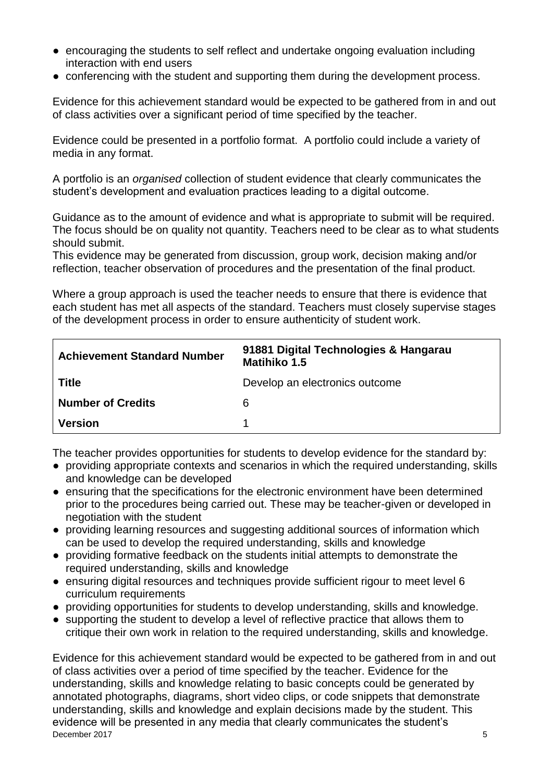- encouraging the students to self reflect and undertake ongoing evaluation including interaction with end users
- conferencing with the student and supporting them during the development process.

Evidence for this achievement standard would be expected to be gathered from in and out of class activities over a significant period of time specified by the teacher.

Evidence could be presented in a portfolio format. A portfolio could include a variety of media in any format.

A portfolio is an *organised* collection of student evidence that clearly communicates the student's development and evaluation practices leading to a digital outcome.

Guidance as to the amount of evidence and what is appropriate to submit will be required. The focus should be on quality not quantity. Teachers need to be clear as to what students should submit.

This evidence may be generated from discussion, group work, decision making and/or reflection, teacher observation of procedures and the presentation of the final product.

Where a group approach is used the teacher needs to ensure that there is evidence that each student has met all aspects of the standard. Teachers must closely supervise stages of the development process in order to ensure authenticity of student work.

| <b>Achievement Standard Number</b> | 91881 Digital Technologies & Hangarau<br>Matihiko 1.5 |
|------------------------------------|-------------------------------------------------------|
| <b>Title</b>                       | Develop an electronics outcome                        |
| <b>Number of Credits</b>           | 6                                                     |
| <b>Version</b>                     |                                                       |

The teacher provides opportunities for students to develop evidence for the standard by:

- providing appropriate contexts and scenarios in which the required understanding, skills and knowledge can be developed
- ensuring that the specifications for the electronic environment have been determined prior to the procedures being carried out. These may be teacher-given or developed in negotiation with the student
- providing learning resources and suggesting additional sources of information which can be used to develop the required understanding, skills and knowledge
- providing formative feedback on the students initial attempts to demonstrate the required understanding, skills and knowledge
- ensuring digital resources and techniques provide sufficient rigour to meet level 6 curriculum requirements
- providing opportunities for students to develop understanding, skills and knowledge.
- supporting the student to develop a level of reflective practice that allows them to critique their own work in relation to the required understanding, skills and knowledge.

December 2017 5 Evidence for this achievement standard would be expected to be gathered from in and out of class activities over a period of time specified by the teacher. Evidence for the understanding, skills and knowledge relating to basic concepts could be generated by annotated photographs, diagrams, short video clips, or code snippets that demonstrate understanding, skills and knowledge and explain decisions made by the student. This evidence will be presented in any media that clearly communicates the student's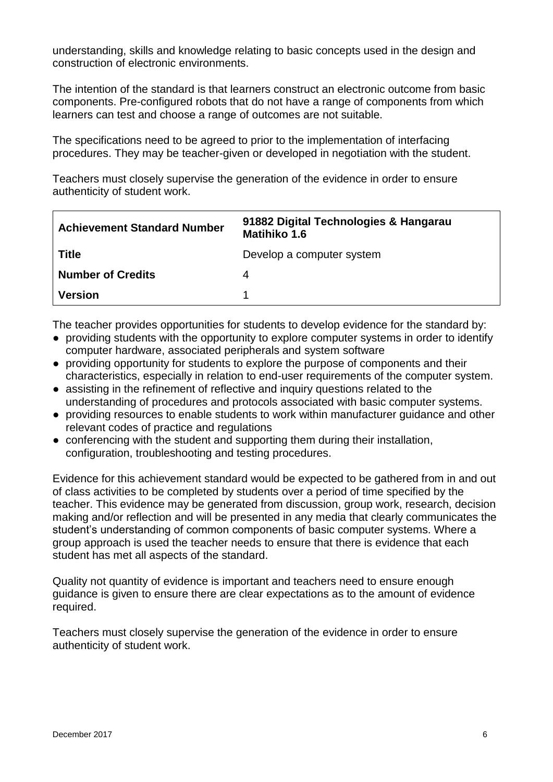understanding, skills and knowledge relating to basic concepts used in the design and construction of electronic environments.

The intention of the standard is that learners construct an electronic outcome from basic components. Pre-configured robots that do not have a range of components from which learners can test and choose a range of outcomes are not suitable.

The specifications need to be agreed to prior to the implementation of interfacing procedures. They may be teacher-given or developed in negotiation with the student.

Teachers must closely supervise the generation of the evidence in order to ensure authenticity of student work.

| <b>Achievement Standard Number</b> | 91882 Digital Technologies & Hangarau<br>Matihiko 1.6 |
|------------------------------------|-------------------------------------------------------|
| <b>Title</b>                       | Develop a computer system                             |
| Number of Credits                  | 4                                                     |
| <b>Version</b>                     |                                                       |

The teacher provides opportunities for students to develop evidence for the standard by:

- providing students with the opportunity to explore computer systems in order to identify computer hardware, associated peripherals and system software
- providing opportunity for students to explore the purpose of components and their characteristics, especially in relation to end-user requirements of the computer system.
- assisting in the refinement of reflective and inquiry questions related to the understanding of procedures and protocols associated with basic computer systems.
- providing resources to enable students to work within manufacturer guidance and other relevant codes of practice and regulations
- conferencing with the student and supporting them during their installation, configuration, troubleshooting and testing procedures.

Evidence for this achievement standard would be expected to be gathered from in and out of class activities to be completed by students over a period of time specified by the teacher. This evidence may be generated from discussion, group work, research, decision making and/or reflection and will be presented in any media that clearly communicates the student's understanding of common components of basic computer systems. Where a group approach is used the teacher needs to ensure that there is evidence that each student has met all aspects of the standard.

Quality not quantity of evidence is important and teachers need to ensure enough guidance is given to ensure there are clear expectations as to the amount of evidence required.

Teachers must closely supervise the generation of the evidence in order to ensure authenticity of student work.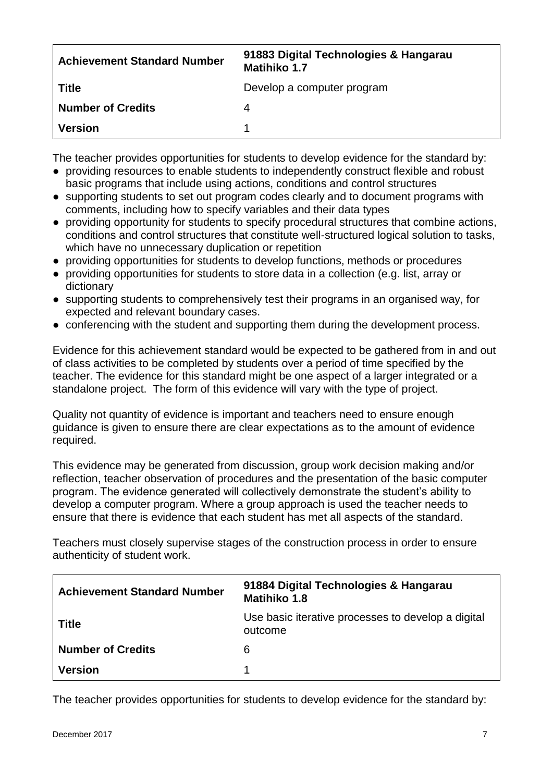| <b>Achievement Standard Number</b> | 91883 Digital Technologies & Hangarau<br><b>Matihiko 1.7</b> |
|------------------------------------|--------------------------------------------------------------|
| <b>Title</b>                       | Develop a computer program                                   |
| <b>Number of Credits</b>           | 4                                                            |
| <b>Version</b>                     |                                                              |

The teacher provides opportunities for students to develop evidence for the standard by:

- providing resources to enable students to independently construct flexible and robust basic programs that include using actions, conditions and control structures
- supporting students to set out program codes clearly and to document programs with comments, including how to specify variables and their data types
- providing opportunity for students to specify procedural structures that combine actions, conditions and control structures that constitute well-structured logical solution to tasks, which have no unnecessary duplication or repetition
- providing opportunities for students to develop functions, methods or procedures
- providing opportunities for students to store data in a collection (e.g. list, array or dictionary
- supporting students to comprehensively test their programs in an organised way, for expected and relevant boundary cases.
- conferencing with the student and supporting them during the development process.

Evidence for this achievement standard would be expected to be gathered from in and out of class activities to be completed by students over a period of time specified by the teacher. The evidence for this standard might be one aspect of a larger integrated or a standalone project. The form of this evidence will vary with the type of project.

Quality not quantity of evidence is important and teachers need to ensure enough guidance is given to ensure there are clear expectations as to the amount of evidence required.

This evidence may be generated from discussion, group work decision making and/or reflection, teacher observation of procedures and the presentation of the basic computer program. The evidence generated will collectively demonstrate the student's ability to develop a computer program. Where a group approach is used the teacher needs to ensure that there is evidence that each student has met all aspects of the standard.

Teachers must closely supervise stages of the construction process in order to ensure authenticity of student work.

| <b>Achievement Standard Number</b> | 91884 Digital Technologies & Hangarau<br><b>Matihiko 1.8</b>  |
|------------------------------------|---------------------------------------------------------------|
| <b>Title</b>                       | Use basic iterative processes to develop a digital<br>outcome |
| <b>Number of Credits</b>           | 6                                                             |
| <b>Version</b>                     |                                                               |

The teacher provides opportunities for students to develop evidence for the standard by: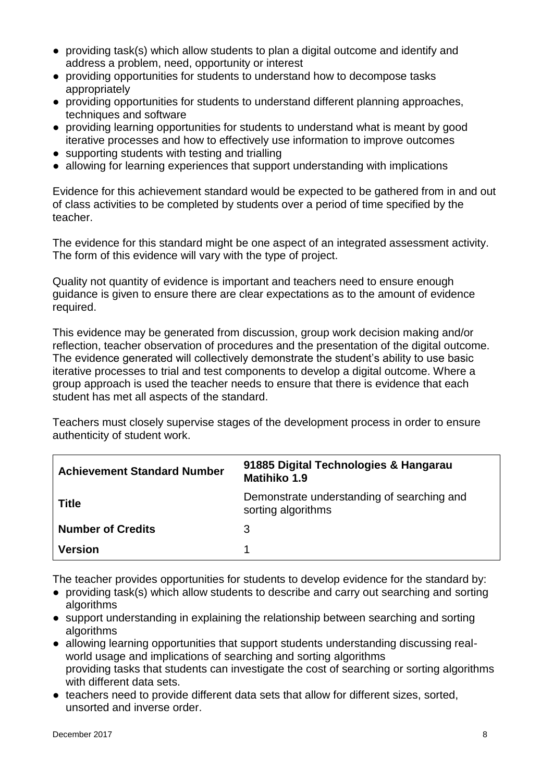- providing task(s) which allow students to plan a digital outcome and identify and address a problem, need, opportunity or interest
- providing opportunities for students to understand how to decompose tasks appropriately
- providing opportunities for students to understand different planning approaches, techniques and software
- providing learning opportunities for students to understand what is meant by good iterative processes and how to effectively use information to improve outcomes
- supporting students with testing and trialling
- allowing for learning experiences that support understanding with implications

Evidence for this achievement standard would be expected to be gathered from in and out of class activities to be completed by students over a period of time specified by the teacher.

The evidence for this standard might be one aspect of an integrated assessment activity. The form of this evidence will vary with the type of project.

Quality not quantity of evidence is important and teachers need to ensure enough guidance is given to ensure there are clear expectations as to the amount of evidence required.

This evidence may be generated from discussion, group work decision making and/or reflection, teacher observation of procedures and the presentation of the digital outcome. The evidence generated will collectively demonstrate the student's ability to use basic iterative processes to trial and test components to develop a digital outcome. Where a group approach is used the teacher needs to ensure that there is evidence that each student has met all aspects of the standard.

Teachers must closely supervise stages of the development process in order to ensure authenticity of student work.

| <b>Achievement Standard Number</b> | 91885 Digital Technologies & Hangarau<br>Matihiko 1.9            |
|------------------------------------|------------------------------------------------------------------|
| <b>Title</b>                       | Demonstrate understanding of searching and<br>sorting algorithms |
| <b>Number of Credits</b>           | 3                                                                |
| <b>Version</b>                     |                                                                  |

The teacher provides opportunities for students to develop evidence for the standard by:

- providing task(s) which allow students to describe and carry out searching and sorting algorithms
- support understanding in explaining the relationship between searching and sorting algorithms
- allowing learning opportunities that support students understanding discussing realworld usage and implications of searching and sorting algorithms providing tasks that students can investigate the cost of searching or sorting algorithms with different data sets.
- teachers need to provide different data sets that allow for different sizes, sorted, unsorted and inverse order.